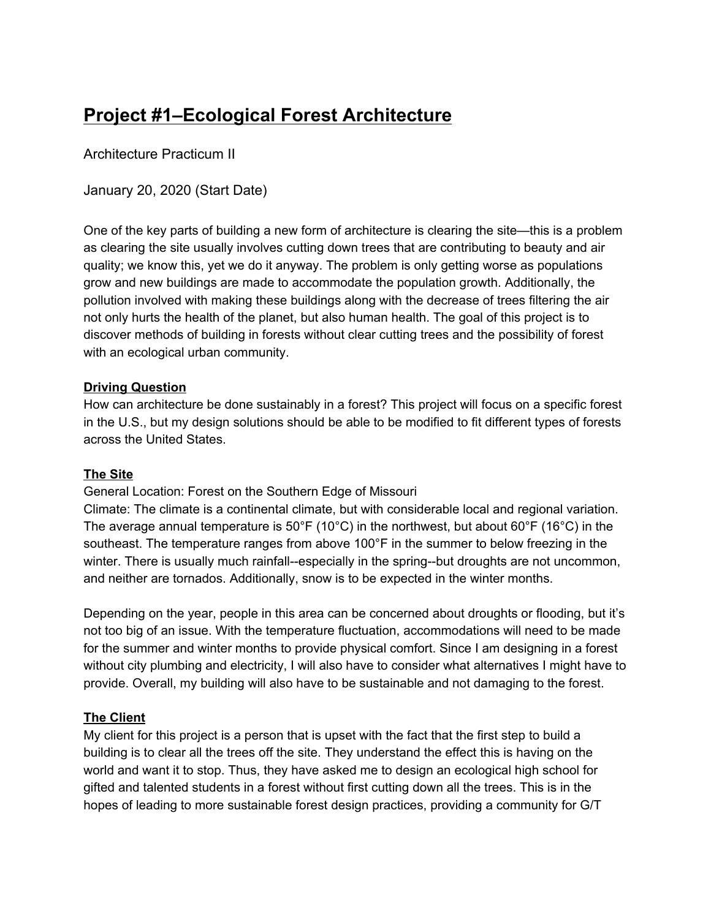# **Project #1–Ecological Forest Architecture**

Architecture Practicum II

January 20, 2020 (Start Date)

One of the key parts of building a new form of architecture is clearing the site—this is a problem as clearing the site usually involves cutting down trees that are contributing to beauty and air quality; we know this, yet we do it anyway. The problem is only getting worse as populations grow and new buildings are made to accommodate the population growth. Additionally, the pollution involved with making these buildings along with the decrease of trees filtering the air not only hurts the health of the planet, but also human health. The goal of this project is to discover methods of building in forests without clear cutting trees and the possibility of forest with an ecological urban community.

#### **Driving Question**

How can architecture be done sustainably in a forest? This project will focus on a specific forest in the U.S., but my design solutions should be able to be modified to fit different types of forests across the United States.

#### **The Site**

General Location: Forest on the Southern Edge of Missouri

Climate: The climate is a continental climate, but with considerable local and regional variation. The average annual temperature is 50°F (10°C) in the northwest, but about 60°F (16°C) in the southeast. The temperature ranges from above 100°F in the summer to below freezing in the winter. There is usually much rainfall--especially in the spring--but droughts are not uncommon, and neither are tornados. Additionally, snow is to be expected in the winter months.

Depending on the year, people in this area can be concerned about droughts or flooding, but it's not too big of an issue. With the temperature fluctuation, accommodations will need to be made for the summer and winter months to provide physical comfort. Since I am designing in a forest without city plumbing and electricity, I will also have to consider what alternatives I might have to provide. Overall, my building will also have to be sustainable and not damaging to the forest.

#### **The Client**

My client for this project is a person that is upset with the fact that the first step to build a building is to clear all the trees off the site. They understand the effect this is having on the world and want it to stop. Thus, they have asked me to design an ecological high school for gifted and talented students in a forest without first cutting down all the trees. This is in the hopes of leading to more sustainable forest design practices, providing a community for G/T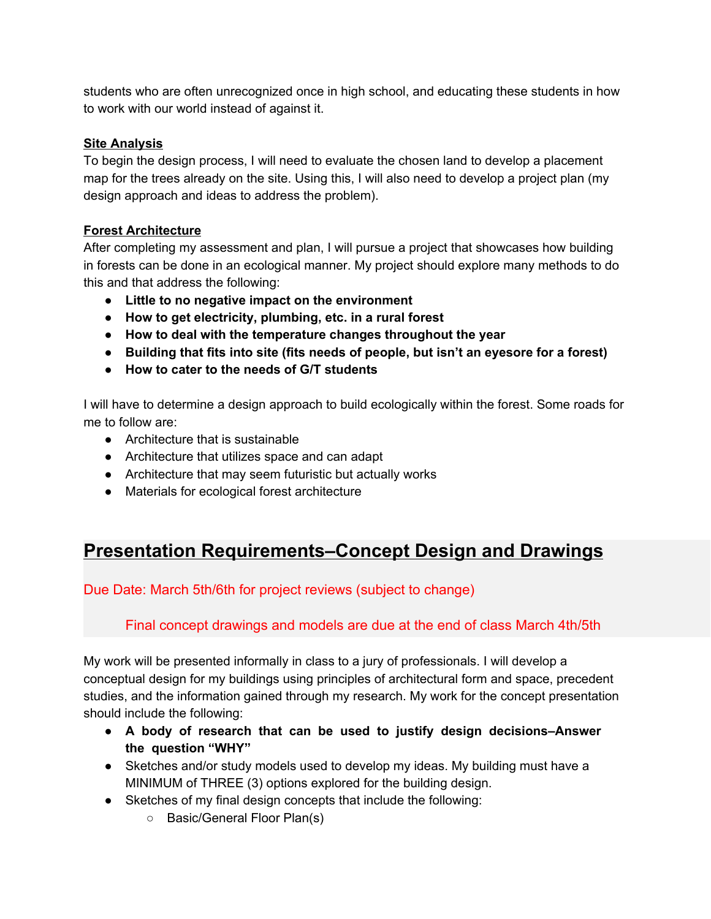students who are often unrecognized once in high school, and educating these students in how to work with our world instead of against it.

### **Site Analysis**

To begin the design process, I will need to evaluate the chosen land to develop a placement map for the trees already on the site. Using this, I will also need to develop a project plan (my design approach and ideas to address the problem).

### **Forest Architecture**

After completing my assessment and plan, I will pursue a project that showcases how building in forests can be done in an ecological manner. My project should explore many methods to do this and that address the following:

- **● Little to no negative impact on the environment**
- **● How to get electricity, plumbing, etc. in a rural forest**
- **● How to deal with the temperature changes throughout the year**
- **● Building that fits into site (fits needs of people, but isn't an eyesore for a forest)**
- **● How to cater to the needs of G/T students**

I will have to determine a design approach to build ecologically within the forest. Some roads for me to follow are:

- Architecture that is sustainable
- Architecture that utilizes space and can adapt
- Architecture that may seem futuristic but actually works
- Materials for ecological forest architecture

# **Presentation Requirements–Concept Design and Drawings**

Due Date: March 5th/6th for project reviews (subject to change)

## Final concept drawings and models are due at the end of class March 4th/5th

My work will be presented informally in class to a jury of professionals. I will develop a conceptual design for my buildings using principles of architectural form and space, precedent studies, and the information gained through my research. My work for the concept presentation should include the following:

- **● A body of research that can be used to justify design decisions–Answer the question "WHY"**
- Sketches and/or study models used to develop my ideas. My building must have a MINIMUM of THREE (3) options explored for the building design.
- Sketches of my final design concepts that include the following:
	- Basic/General Floor Plan(s)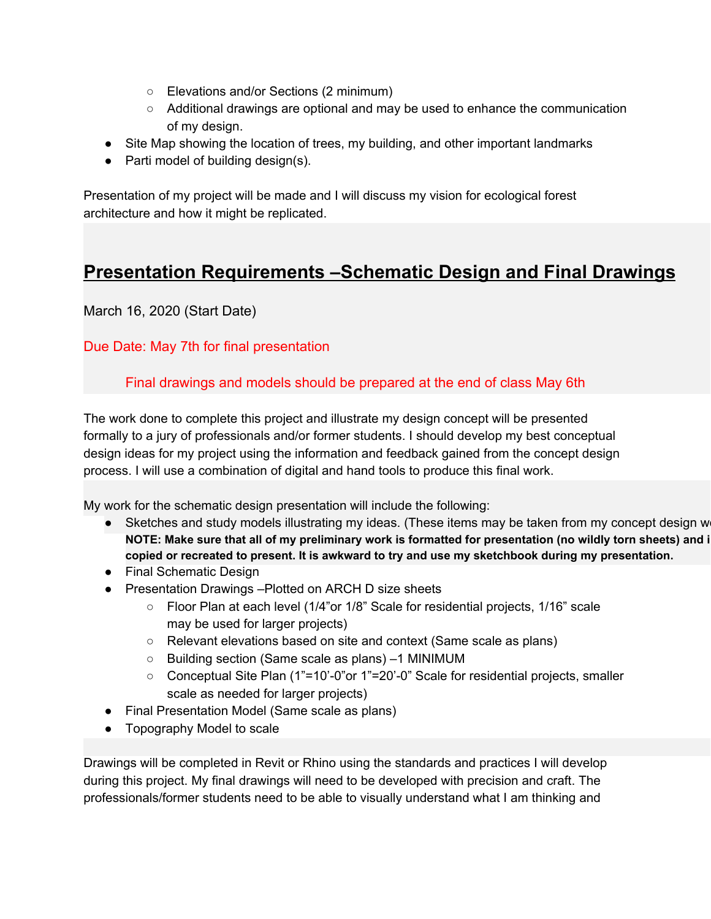- Elevations and/or Sections (2 minimum)
- Additional drawings are optional and may be used to enhance the communication of my design.
- Site Map showing the location of trees, my building, and other important landmarks
- Parti model of building design(s).

Presentation of my project will be made and I will discuss my vision for ecological forest architecture and how it might be replicated.

# **Presentation Requirements –Schematic Design and Final Drawings**

March 16, 2020 (Start Date)

# Due Date: May 7th for final presentation

## Final drawings and models should be prepared at the end of class May 6th

The work done to complete this project and illustrate my design concept will be presented formally to a jury of professionals and/or former students. I should develop my best conceptual design ideas for my project using the information and feedback gained from the concept design process. I will use a combination of digital and hand tools to produce this final work.

My work for the schematic design presentation will include the following:

- Sketches and study models illustrating my ideas. (These items may be taken from my concept design w NOTE: Make sure that all of my preliminary work is formatted for presentation (no wildly torn sheets) and i **copied or recreated to present. It is awkward to try and use my sketchbook during my presentation.**
- Final Schematic Design
- Presentation Drawings –Plotted on ARCH D size sheets
	- Floor Plan at each level (1/4"or 1/8" Scale for residential projects, 1/16" scale may be used for larger projects)
	- Relevant elevations based on site and context (Same scale as plans)
	- Building section (Same scale as plans) –1 MINIMUM
	- Conceptual Site Plan (1"=10'-0"or 1"=20'-0" Scale for residential projects, smaller scale as needed for larger projects)
- Final Presentation Model (Same scale as plans)
- Topography Model to scale

Drawings will be completed in Revit or Rhino using the standards and practices I will develop during this project. My final drawings will need to be developed with precision and craft. The professionals/former students need to be able to visually understand what I am thinking and